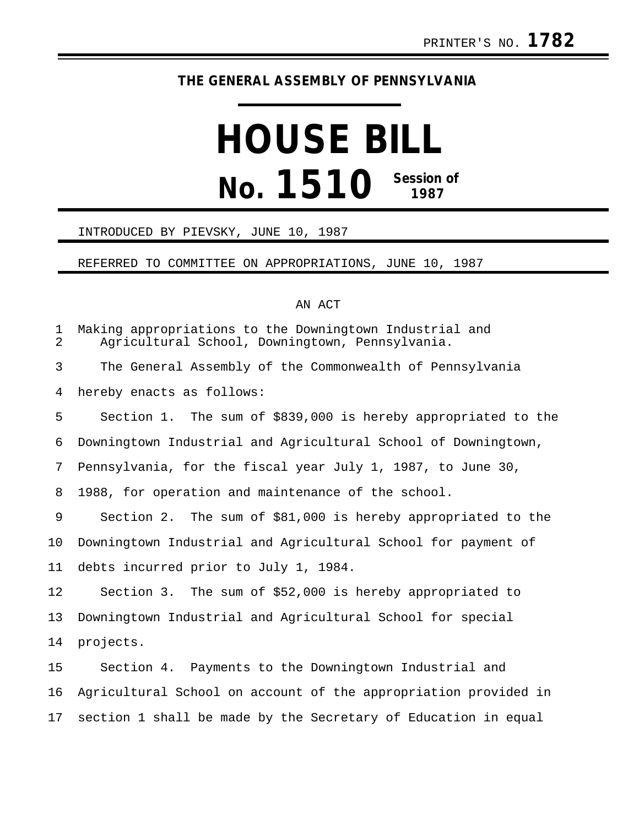## **THE GENERAL ASSEMBLY OF PENNSYLVANIA**

# **HOUSE BILL No. 1510 Session of 1987**

#### INTRODUCED BY PIEVSKY, JUNE 10, 1987

#### REFERRED TO COMMITTEE ON APPROPRIATIONS, JUNE 10, 1987

### AN ACT

| 1<br>$\overline{2}$ | Making appropriations to the Downingtown Industrial and<br>Agricultural School, Downingtown, Pennsylvania. |
|---------------------|------------------------------------------------------------------------------------------------------------|
| 3                   | The General Assembly of the Commonwealth of Pennsylvania                                                   |
| 4                   | hereby enacts as follows:                                                                                  |
| 5                   | Section 1. The sum of \$839,000 is hereby appropriated to the                                              |
| 6                   | Downingtown Industrial and Agricultural School of Downingtown,                                             |
| 7                   | Pennsylvania, for the fiscal year July 1, 1987, to June 30,                                                |
| 8                   | 1988, for operation and maintenance of the school.                                                         |
| 9                   | Section 2. The sum of \$81,000 is hereby appropriated to the                                               |
| 10                  | Downingtown Industrial and Agricultural School for payment of                                              |
| 11                  | debts incurred prior to July 1, 1984.                                                                      |
| 12                  | Section 3. The sum of \$52,000 is hereby appropriated to                                                   |
| 13                  | Downingtown Industrial and Agricultural School for special                                                 |
| 14                  | projects.                                                                                                  |
| 15                  | Section 4. Payments to the Downingtown Industrial and                                                      |
| 16                  | Agricultural School on account of the appropriation provided in                                            |
| 17                  | section 1 shall be made by the Secretary of Education in equal                                             |